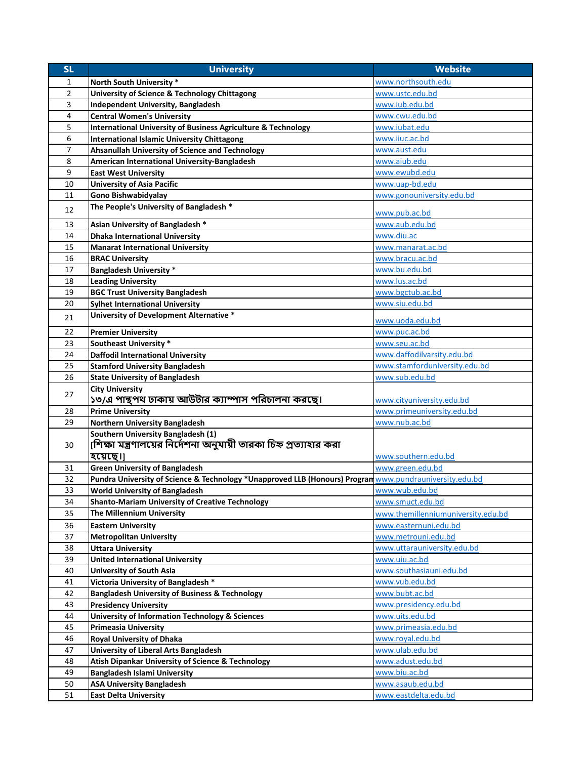| <b>SL</b> | <b>University</b>                                                                                       | <b>Website</b>                     |
|-----------|---------------------------------------------------------------------------------------------------------|------------------------------------|
| 1         | North South University *                                                                                | www.northsouth.edu                 |
| 2         | University of Science & Technology Chittagong                                                           | www.ustc.edu.bd                    |
| 3         | <b>Independent University, Bangladesh</b>                                                               | www.iub.edu.bd                     |
| 4         | <b>Central Women's University</b>                                                                       | www.cwu.edu.bd                     |
| 5         | <b>International University of Business Agriculture &amp; Technology</b>                                | www.iubat.edu                      |
| 6         | <b>International Islamic University Chittagong</b>                                                      | www.iiuc.ac.bd                     |
| 7         | Ahsanullah University of Science and Technology                                                         | www.aust.edu                       |
| 8         | American International University-Bangladesh                                                            | www.aiub.edu                       |
| 9         | <b>East West University</b>                                                                             | www.ewubd.edu                      |
| 10        | <b>University of Asia Pacific</b>                                                                       | www.uap-bd.edu                     |
| 11        | Gono Bishwabidyalay                                                                                     | www.gonouniversity.edu.bd          |
| 12        | The People's University of Bangladesh *                                                                 |                                    |
|           |                                                                                                         | www.pub.ac.bd                      |
| 13        | Asian University of Bangladesh *                                                                        | www.aub.edu.bd                     |
| 14        | <b>Dhaka International University</b>                                                                   | www.diu.ac                         |
| 15        | <b>Manarat International University</b>                                                                 | www.manarat.ac.bd                  |
| 16        | <b>BRAC University</b>                                                                                  | www.bracu.ac.bd                    |
| 17        | <b>Bangladesh University *</b>                                                                          | www.bu.edu.bd                      |
| 18        | <b>Leading University</b>                                                                               | www.lus.ac.bd                      |
| 19        | <b>BGC Trust University Bangladesh</b>                                                                  | www.bgctub.ac.bd                   |
| 20        | <b>Sylhet International University</b>                                                                  | www.siu.edu.bd                     |
| 21        | University of Development Alternative *                                                                 | www.uoda.edu.bd                    |
| 22        | <b>Premier University</b>                                                                               | www.puc.ac.bd                      |
| 23        | <b>Southeast University *</b>                                                                           | www.seu.ac.bd                      |
| 24        | <b>Daffodil International University</b>                                                                | www.daffodilvarsity.edu.bd         |
| 25        | <b>Stamford University Bangladesh</b>                                                                   | www.stamforduniversity.edu.bd      |
| 26        | <b>State University of Bangladesh</b>                                                                   | www.sub.edu.bd                     |
|           | <b>City University</b>                                                                                  |                                    |
| 27        | ১৩/এ পান্থপথ ঢাকায় আউটার ক্যাম্পাস পরিচালনা করছে।                                                      | www.cityuniversity.edu.bd          |
| 28        | <b>Prime University</b>                                                                                 | www.primeuniversity.edu.bd         |
| 29        | <b>Northern University Bangladesh</b>                                                                   | www.nub.ac.bd                      |
|           | Southern University Bangladesh (1)                                                                      |                                    |
| 30        | [শিক্ষা মন্ত্রণালয়ের নির্দেশনা অনুযায়ী তারকা চিহ্ন প্রত্যাহার করা                                     |                                    |
|           | হয়েছে।]                                                                                                | www.southern.edu.bd                |
| 31        | <b>Green University of Bangladesh</b>                                                                   | www.green.edu.bd                   |
| 32        | Pundra University of Science & Technology *Unapproved LLB (Honours) Progran www.pundrauniversity.edu.bd |                                    |
| 33        | <b>World University of Bangladesh</b>                                                                   | www.wub.edu.bd                     |
| 34        | <b>Shanto-Mariam University of Creative Technology</b>                                                  | www.smuct.edu.bd                   |
| 35        | <b>The Millennium University</b>                                                                        | www.themillenniumuniversity.edu.bd |
| 36        | <b>Eastern University</b>                                                                               | www.easternuni.edu.bd              |
| 37        | <b>Metropolitan University</b>                                                                          | www.metrouni.edu.bd                |
| 38        | <b>Uttara University</b>                                                                                | www.uttarauniversity.edu.bd        |
| 39        | <b>United International University</b>                                                                  | www.uiu.ac.bd                      |
| 40        | <b>University of South Asia</b>                                                                         | www.southasiauni.edu.bd            |
| 41        | Victoria University of Bangladesh *                                                                     | www.vub.edu.bd                     |
| 42        | <b>Bangladesh University of Business &amp; Technology</b>                                               | www.bubt.ac.bd                     |
| 43        | <b>Presidency University</b>                                                                            | www.presidency.edu.bd              |
| 44        | <b>University of Information Technology &amp; Sciences</b>                                              | www.uits.edu.bd                    |
| 45        | <b>Primeasia University</b>                                                                             | www.primeasia.edu.bd               |
| 46        | <b>Royal University of Dhaka</b>                                                                        | www.royal.edu.bd                   |
| 47        | University of Liberal Arts Bangladesh                                                                   | www.ulab.edu.bd                    |
| 48        | Atish Dipankar University of Science & Technology                                                       | www.adust.edu.bd                   |
| 49        | <b>Bangladesh Islami University</b>                                                                     | www.biu.ac.bd                      |
| 50        | <b>ASA University Bangladesh</b>                                                                        | www.asaub.edu.bd                   |
| 51        | <b>East Delta University</b>                                                                            | www.eastdelta.edu.bd               |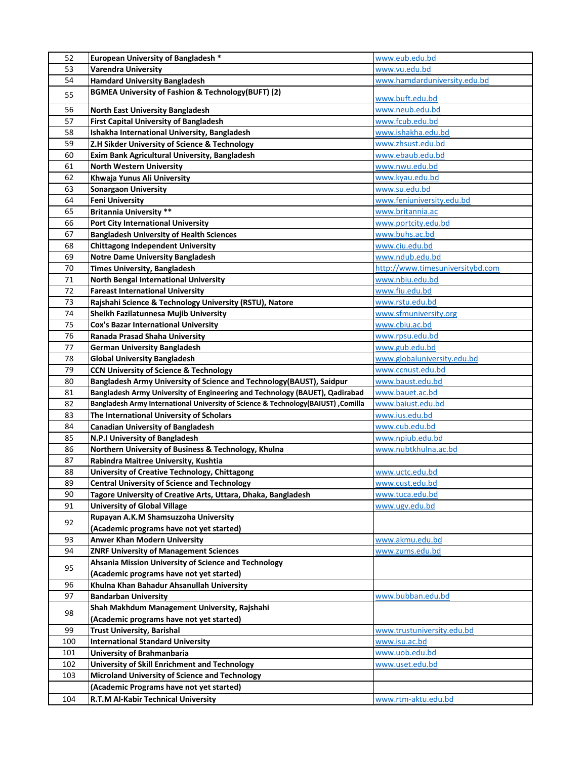| <b>European University of Bangladesh *</b>                                               | www.eub.edu.bd                   |
|------------------------------------------------------------------------------------------|----------------------------------|
| 53<br><b>Varendra University</b>                                                         | www.vu.edu.bd                    |
| 54<br><b>Hamdard University Bangladesh</b>                                               | www.hamdarduniversity.edu.bd     |
| <b>BGMEA University of Fashion &amp; Technology(BUFT) (2)</b><br>55                      | www.buft.edu.bd                  |
| 56<br><b>North East University Bangladesh</b>                                            | www.neub.edu.bd                  |
| 57<br><b>First Capital University of Bangladesh</b>                                      | www.fcub.edu.bd                  |
| Ishakha International University, Bangladesh<br>58                                       | www.ishakha.edu.bd               |
| 59<br>Z.H Sikder University of Science & Technology                                      | www.zhsust.edu.bd                |
| Exim Bank Agricultural University, Bangladesh<br>60                                      | www.ebaub.edu.bd                 |
| 61<br><b>North Western University</b>                                                    | www.nwu.edu.bd                   |
| 62                                                                                       | www.kyau.edu.bd                  |
| Khwaja Yunus Ali University                                                              |                                  |
| 63<br><b>Sonargaon University</b>                                                        | www.su.edu.bd                    |
| 64<br><b>Feni University</b>                                                             | www.feniuniversity.edu.bd        |
| <b>Britannia University **</b><br>65                                                     | www.britannia.ac                 |
| 66<br><b>Port City International University</b>                                          | www.portcity.edu.bd              |
| <b>Bangladesh University of Health Sciences</b><br>67                                    | www.buhs.ac.bd                   |
| 68<br><b>Chittagong Independent University</b>                                           | www.ciu.edu.bd                   |
| <b>Notre Dame University Bangladesh</b><br>69                                            | www.ndub.edu.bd                  |
| 70<br><b>Times University, Bangladesh</b>                                                | http://www.timesuniversitybd.com |
| <b>North Bengal International University</b><br>71                                       | www.nbiu.edu.bd                  |
| 72<br><b>Fareast International University</b>                                            | www.fiu.edu.bd                   |
| Rajshahi Science & Technology University (RSTU), Natore<br>73                            | www.rstu.edu.bd                  |
| 74<br>Sheikh Fazilatunnesa Mujib University                                              | www.sfmuniversity.org            |
| 75<br>Cox's Bazar International University                                               | www.cbiu.ac.bd                   |
| 76<br>Ranada Prasad Shaha University                                                     | www.rpsu.edu.bd                  |
| 77<br><b>German University Bangladesh</b>                                                | www.gub.edu.bd                   |
| 78<br><b>Global University Bangladesh</b>                                                | www.globaluniversity.edu.bd      |
| <b>CCN University of Science &amp; Technology</b><br>79                                  | www.ccnust.edu.bd                |
| Bangladesh Army University of Science and Technology (BAUST), Saidpur<br>80              | www.baust.edu.bd                 |
| Bangladesh Army University of Engineering and Technology (BAUET), Qadirabad<br>81        | www.bauet.ac.bd                  |
| Bangladesh Army International University of Science & Technology(BAIUST) , Comilla<br>82 | www.baiust.edu.bd                |
| 83<br>The International University of Scholars                                           | www.ius.edu.bd                   |
| 84<br><b>Canadian University of Bangladesh</b>                                           | www.cub.edu.bd                   |
| 85<br>N.P.I University of Bangladesh                                                     | www.npiub.edu.bd                 |
| Northern University of Business & Technology, Khulna<br>86                               | www.nubtkhulna.ac.bd             |
| 87<br>Rabindra Maitree University, Kushtia                                               |                                  |
| University of Creative Technology, Chittagong<br>88                                      | <u>www.uctc.edu.bd</u>           |
| 89<br><b>Central University of Science and Technology</b>                                | www.cust.edu.bd                  |
| 90<br>Tagore University of Creative Arts, Uttara, Dhaka, Bangladesh                      | www.tuca.edu.bd                  |
| 91<br><b>University of Global Village</b>                                                | www.ugv.edu.bd                   |
| Rupayan A.K.M Shamsuzzoha University<br>92                                               |                                  |
| (Academic programs have not yet started)                                                 |                                  |
| <b>Anwer Khan Modern University</b><br>93                                                | www.akmu.edu.bd                  |
| 94<br><b>ZNRF University of Management Sciences</b>                                      | www.zums.edu.bd                  |
| Ahsania Mission University of Science and Technology<br>95                               |                                  |
| (Academic programs have not yet started)                                                 |                                  |
| Khulna Khan Bahadur Ahsanullah University<br>96                                          |                                  |
| 97<br><b>Bandarban University</b>                                                        | www.bubban.edu.bd                |
| Shah Makhdum Management University, Rajshahi                                             |                                  |
| 98<br>(Academic programs have not yet started)                                           |                                  |
| <b>Trust University, Barishal</b><br>99                                                  | www.trustuniversity.edu.bd       |
| 100<br><b>International Standard University</b>                                          | www.isu.ac.bd                    |
| 101<br><b>University of Brahmanbaria</b>                                                 | www.uob.edu.bd                   |
| 102<br>University of Skill Enrichment and Technology                                     | www.uset.edu.bd                  |
| 103<br><b>Microland University of Science and Technology</b>                             |                                  |
| (Academic Programs have not yet started)                                                 |                                  |
| 104<br>R.T.M Al-Kabir Technical University                                               | www.rtm-aktu.edu.bd              |